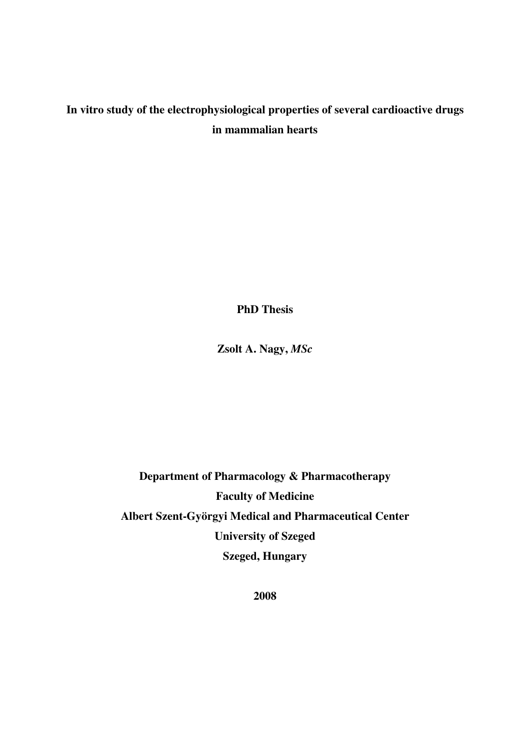# **In vitro study of the electrophysiological properties of several cardioactive drugs in mammalian hearts**

**PhD Thesis** 

**Zsolt A. Nagy,** *MSc*

**Department of Pharmacology & Pharmacotherapy Faculty of Medicine Albert Szent-Györgyi Medical and Pharmaceutical Center University of Szeged Szeged, Hungary** 

**2008**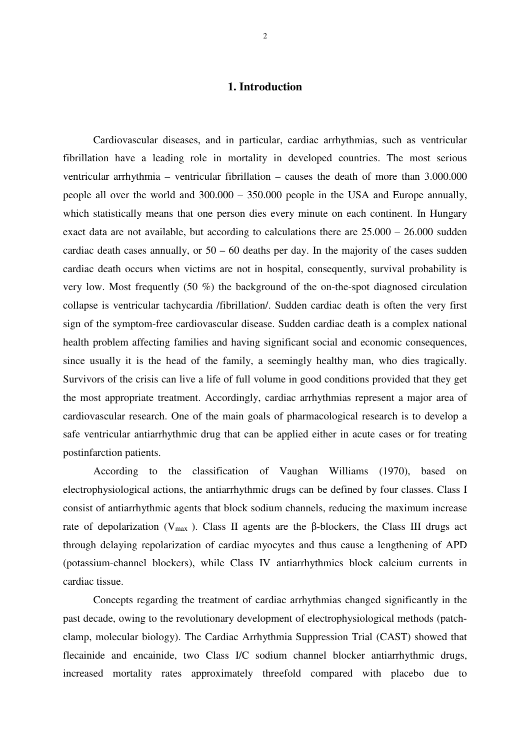# **1. Introduction**

Cardiovascular diseases, and in particular, cardiac arrhythmias, such as ventricular fibrillation have a leading role in mortality in developed countries. The most serious ventricular arrhythmia – ventricular fibrillation – causes the death of more than 3.000.000 people all over the world and 300.000 – 350.000 people in the USA and Europe annually, which statistically means that one person dies every minute on each continent. In Hungary exact data are not available, but according to calculations there are  $25.000 - 26.000$  sudden cardiac death cases annually, or  $50 - 60$  deaths per day. In the majority of the cases sudden cardiac death occurs when victims are not in hospital, consequently, survival probability is very low. Most frequently (50 %) the background of the on-the-spot diagnosed circulation collapse is ventricular tachycardia /fibrillation/. Sudden cardiac death is often the very first sign of the symptom-free cardiovascular disease. Sudden cardiac death is a complex national health problem affecting families and having significant social and economic consequences, since usually it is the head of the family, a seemingly healthy man, who dies tragically. Survivors of the crisis can live a life of full volume in good conditions provided that they get the most appropriate treatment. Accordingly, cardiac arrhythmias represent a major area of cardiovascular research. One of the main goals of pharmacological research is to develop a safe ventricular antiarrhythmic drug that can be applied either in acute cases or for treating postinfarction patients.

According to the classification of Vaughan Williams (1970), based on electrophysiological actions, the antiarrhythmic drugs can be defined by four classes. Class I consist of antiarrhythmic agents that block sodium channels, reducing the maximum increase rate of depolarization ( $V_{max}$ ). Class II agents are the β-blockers, the Class III drugs act through delaying repolarization of cardiac myocytes and thus cause a lengthening of APD (potassium-channel blockers), while Class IV antiarrhythmics block calcium currents in cardiac tissue.

Concepts regarding the treatment of cardiac arrhythmias changed significantly in the past decade, owing to the revolutionary development of electrophysiological methods (patchclamp, molecular biology). The Cardiac Arrhythmia Suppression Trial (CAST) showed that flecainide and encainide, two Class I/C sodium channel blocker antiarrhythmic drugs, increased mortality rates approximately threefold compared with placebo due to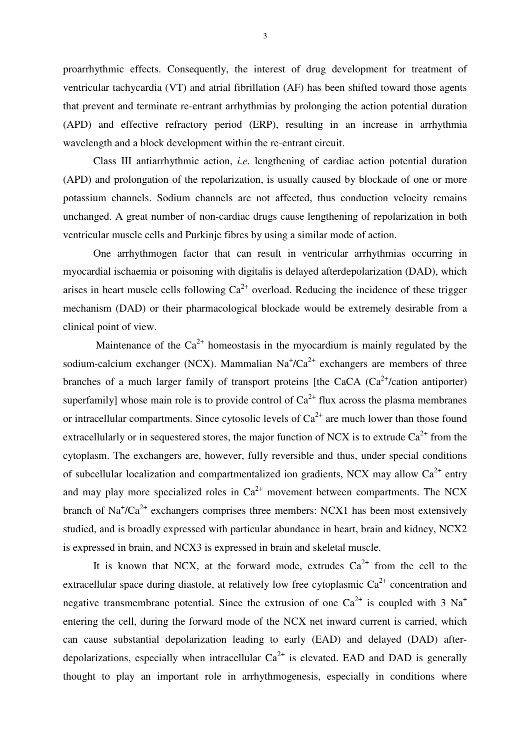proarrhythmic effects. Consequently, the interest of drug development for treatment of ventricular tachycardia (VT) and atrial fibrillation (AF) has been shifted toward those agents that prevent and terminate re-entrant arrhythmias by prolonging the action potential duration (APD) and effective refractory period (ERP), resulting in an increase in arrhythmia wavelength and a block development within the re-entrant circuit.

Class III antiarrhythmic action, *i.e.* lengthening of cardiac action potential duration (APD) and prolongation of the repolarization, is usually caused by blockade of one or more potassium channels. Sodium channels are not affected, thus conduction velocity remains unchanged. A great number of non-cardiac drugs cause lengthening of repolarization in both ventricular muscle cells and Purkinje fibres by using a similar mode of action.

One arrhythmogen factor that can result in ventricular arrhythmias occurring in myocardial ischaemia or poisoning with digitalis is delayed afterdepolarization (DAD), which arises in heart muscle cells following  $Ca^{2+}$  overload. Reducing the incidence of these trigger mechanism (DAD) or their pharmacological blockade would be extremely desirable from a clinical point of view.

Maintenance of the  $Ca^{2+}$  homeostasis in the myocardium is mainly regulated by the sodium-calcium exchanger (NCX). Mammalian  $Na<sup>+</sup>/Ca<sup>2+</sup>$  exchangers are members of three branches of a much larger family of transport proteins [the CaCA  $(Ca^{2+}/cation$  antiporter) superfamily] whose main role is to provide control of  $Ca^{2+}$  flux across the plasma membranes or intracellular compartments. Since cytosolic levels of  $Ca^{2+}$  are much lower than those found extracellularly or in sequestered stores, the major function of NCX is to extrude  $Ca^{2+}$  from the cytoplasm. The exchangers are, however, fully reversible and thus, under special conditions of subcellular localization and compartmentalized ion gradients, NCX may allow  $Ca^{2+}$  entry and may play more specialized roles in  $Ca^{2+}$  movement between compartments. The NCX branch of  $\text{Na}^{\dagger}/\text{Ca}^{2+}$  exchangers comprises three members: NCX1 has been most extensively studied, and is broadly expressed with particular abundance in heart, brain and kidney, NCX2 is expressed in brain, and NCX3 is expressed in brain and skeletal muscle.

It is known that NCX, at the forward mode, extrudes  $Ca^{2+}$  from the cell to the extracellular space during diastole, at relatively low free cytoplasmic  $Ca^{2+}$  concentration and negative transmembrane potential. Since the extrusion of one  $Ca^{2+}$  is coupled with 3 Na<sup>+</sup> entering the cell, during the forward mode of the NCX net inward current is carried, which can cause substantial depolarization leading to early (EAD) and delayed (DAD) afterdepolarizations, especially when intracellular  $Ca^{2+}$  is elevated. EAD and DAD is generally thought to play an important role in arrhythmogenesis, especially in conditions where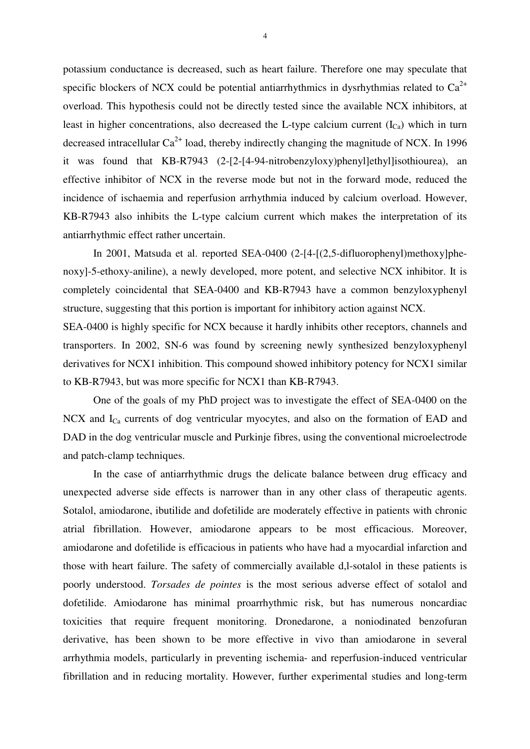potassium conductance is decreased, such as heart failure. Therefore one may speculate that specific blockers of NCX could be potential antiarrhythmics in dysrhythmias related to  $Ca^{2+}$ overload. This hypothesis could not be directly tested since the available NCX inhibitors, at least in higher concentrations, also decreased the L-type calcium current  $(I_{Ca})$  which in turn decreased intracellular  $Ca^{2+}$  load, thereby indirectly changing the magnitude of NCX. In 1996 it was found that KB-R7943 (2-[2-[4-94-nitrobenzyloxy)phenyl]ethyl]isothiourea), an effective inhibitor of NCX in the reverse mode but not in the forward mode, reduced the incidence of ischaemia and reperfusion arrhythmia induced by calcium overload. However, KB-R7943 also inhibits the L-type calcium current which makes the interpretation of its antiarrhythmic effect rather uncertain.

In 2001, Matsuda et al. reported SEA-0400 (2-[4-[(2,5-difluorophenyl)methoxy]phenoxy]-5-ethoxy-aniline), a newly developed, more potent, and selective NCX inhibitor. It is completely coincidental that SEA-0400 and KB-R7943 have a common benzyloxyphenyl structure, suggesting that this portion is important for inhibitory action against NCX.

SEA-0400 is highly specific for NCX because it hardly inhibits other receptors, channels and transporters. In 2002, SN-6 was found by screening newly synthesized benzyloxyphenyl derivatives for NCX1 inhibition. This compound showed inhibitory potency for NCX1 similar to KB-R7943, but was more specific for NCX1 than KB-R7943.

One of the goals of my PhD project was to investigate the effect of SEA-0400 on the NCX and I<sub>Ca</sub> currents of dog ventricular myocytes, and also on the formation of EAD and DAD in the dog ventricular muscle and Purkinje fibres, using the conventional microelectrode and patch-clamp techniques.

In the case of antiarrhythmic drugs the delicate balance between drug efficacy and unexpected adverse side effects is narrower than in any other class of therapeutic agents. Sotalol, amiodarone, ibutilide and dofetilide are moderately effective in patients with chronic atrial fibrillation. However, amiodarone appears to be most efficacious. Moreover, amiodarone and dofetilide is efficacious in patients who have had a myocardial infarction and those with heart failure. The safety of commercially available d,l-sotalol in these patients is poorly understood. *Torsades de pointes* is the most serious adverse effect of sotalol and dofetilide. Amiodarone has minimal proarrhythmic risk, but has numerous noncardiac toxicities that require frequent monitoring. Dronedarone, a noniodinated benzofuran derivative, has been shown to be more effective in vivo than amiodarone in several arrhythmia models, particularly in preventing ischemia- and reperfusion-induced ventricular fibrillation and in reducing mortality. However, further experimental studies and long-term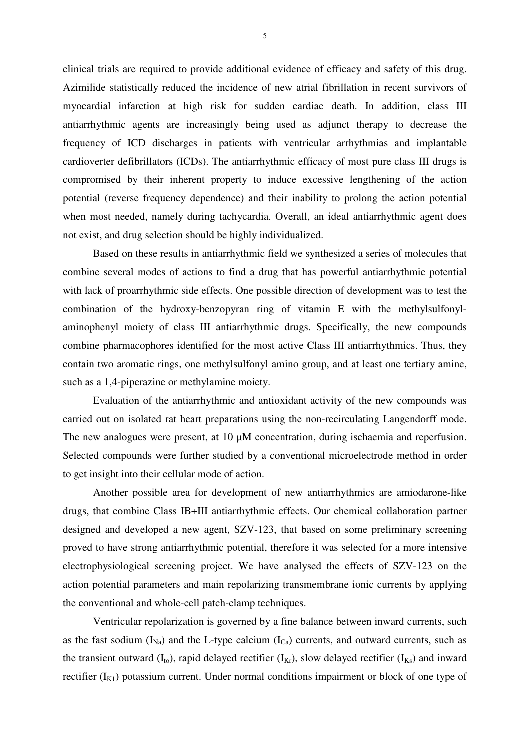clinical trials are required to provide additional evidence of efficacy and safety of this drug. Azimilide statistically reduced the incidence of new atrial fibrillation in recent survivors of myocardial infarction at high risk for sudden cardiac death. In addition, class III antiarrhythmic agents are increasingly being used as adjunct therapy to decrease the frequency of ICD discharges in patients with ventricular arrhythmias and implantable cardioverter defibrillators (ICDs). The antiarrhythmic efficacy of most pure class III drugs is compromised by their inherent property to induce excessive lengthening of the action potential (reverse frequency dependence) and their inability to prolong the action potential when most needed, namely during tachycardia. Overall, an ideal antiarrhythmic agent does not exist, and drug selection should be highly individualized.

Based on these results in antiarrhythmic field we synthesized a series of molecules that combine several modes of actions to find a drug that has powerful antiarrhythmic potential with lack of proarrhythmic side effects. One possible direction of development was to test the combination of the hydroxy-benzopyran ring of vitamin E with the methylsulfonylaminophenyl moiety of class III antiarrhythmic drugs. Specifically, the new compounds combine pharmacophores identified for the most active Class III antiarrhythmics. Thus, they contain two aromatic rings, one methylsulfonyl amino group, and at least one tertiary amine, such as a 1,4-piperazine or methylamine moiety.

Evaluation of the antiarrhythmic and antioxidant activity of the new compounds was carried out on isolated rat heart preparations using the non-recirculating Langendorff mode. The new analogues were present, at 10  $\mu$ M concentration, during ischaemia and reperfusion. Selected compounds were further studied by a conventional microelectrode method in order to get insight into their cellular mode of action.

Another possible area for development of new antiarrhythmics are amiodarone-like drugs, that combine Class IB+III antiarrhythmic effects. Our chemical collaboration partner designed and developed a new agent, SZV-123, that based on some preliminary screening proved to have strong antiarrhythmic potential, therefore it was selected for a more intensive electrophysiological screening project. We have analysed the effects of SZV-123 on the action potential parameters and main repolarizing transmembrane ionic currents by applying the conventional and whole-cell patch-clamp techniques.

Ventricular repolarization is governed by a fine balance between inward currents, such as the fast sodium  $(I_{Na})$  and the L-type calcium  $(I_{Ca})$  currents, and outward currents, such as the transient outward  $(I_{to})$ , rapid delayed rectifier  $(I_{Kr})$ , slow delayed rectifier  $(I_{Ks})$  and inward rectifier  $(I_{K1})$  potassium current. Under normal conditions impairment or block of one type of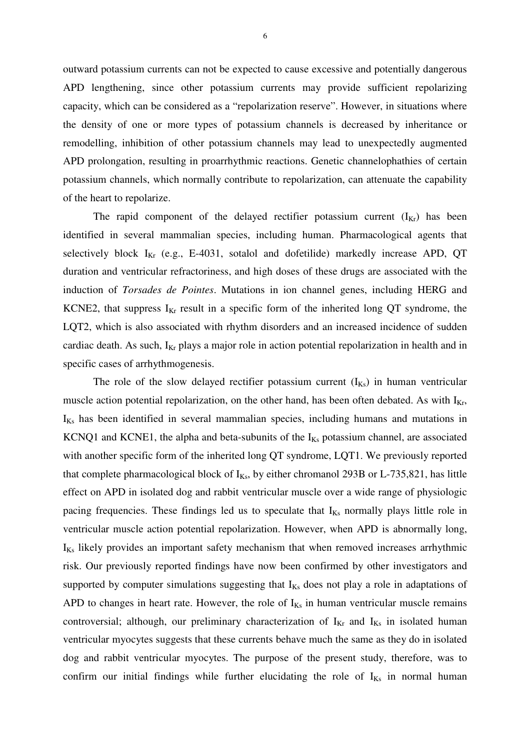outward potassium currents can not be expected to cause excessive and potentially dangerous APD lengthening, since other potassium currents may provide sufficient repolarizing capacity, which can be considered as a "repolarization reserve". However, in situations where the density of one or more types of potassium channels is decreased by inheritance or remodelling, inhibition of other potassium channels may lead to unexpectedly augmented APD prolongation, resulting in proarrhythmic reactions. Genetic channelophathies of certain potassium channels, which normally contribute to repolarization, can attenuate the capability of the heart to repolarize.

The rapid component of the delayed rectifier potassium current  $(I_{Kr})$  has been identified in several mammalian species, including human. Pharmacological agents that selectively block  $I_{Kr}$  (e.g., E-4031, sotalol and dofetilide) markedly increase APD, QT duration and ventricular refractoriness, and high doses of these drugs are associated with the induction of *Torsades de Pointes*. Mutations in ion channel genes, including HERG and KCNE2, that suppress  $I_{Kr}$  result in a specific form of the inherited long QT syndrome, the LQT2, which is also associated with rhythm disorders and an increased incidence of sudden cardiac death. As such,  $I_{Kr}$  plays a major role in action potential repolarization in health and in specific cases of arrhythmogenesis.

The role of the slow delayed rectifier potassium current  $(I_{Ks})$  in human ventricular muscle action potential repolarization, on the other hand, has been often debated. As with  $I_{Kr}$ ,  $I_{Ks}$  has been identified in several mammalian species, including humans and mutations in KCNQ1 and KCNE1, the alpha and beta-subunits of the  $I_{Ks}$  potassium channel, are associated with another specific form of the inherited long QT syndrome, LQT1. We previously reported that complete pharmacological block of  $I_{Ks}$ , by either chromanol 293B or L-735,821, has little effect on APD in isolated dog and rabbit ventricular muscle over a wide range of physiologic pacing frequencies. These findings led us to speculate that  $I_{Ks}$  normally plays little role in ventricular muscle action potential repolarization. However, when APD is abnormally long,  $I_{Ks}$  likely provides an important safety mechanism that when removed increases arrhythmic risk. Our previously reported findings have now been confirmed by other investigators and supported by computer simulations suggesting that  $I_{Ks}$  does not play a role in adaptations of APD to changes in heart rate. However, the role of  $I_{Ks}$  in human ventricular muscle remains controversial; although, our preliminary characterization of  $I_{Kr}$  and  $I_{Ks}$  in isolated human ventricular myocytes suggests that these currents behave much the same as they do in isolated dog and rabbit ventricular myocytes. The purpose of the present study, therefore, was to confirm our initial findings while further elucidating the role of  $I_{Ks}$  in normal human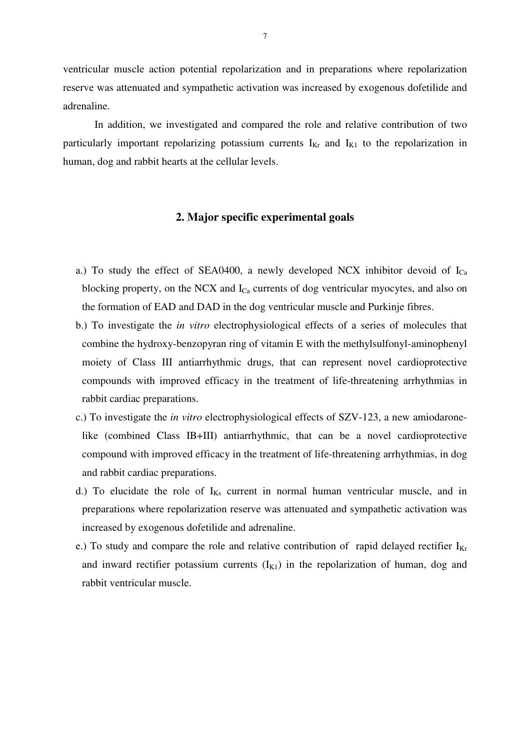ventricular muscle action potential repolarization and in preparations where repolarization reserve was attenuated and sympathetic activation was increased by exogenous dofetilide and adrenaline.

In addition, we investigated and compared the role and relative contribution of two particularly important repolarizing potassium currents  $I_{Kr}$  and  $I_{K1}$  to the repolarization in human, dog and rabbit hearts at the cellular levels.

# **2. Major specific experimental goals**

- a.) To study the effect of SEA0400, a newly developed NCX inhibitor devoid of  $I_{Ca}$ blocking property, on the NCX and  $I_{Ca}$  currents of dog ventricular myocytes, and also on the formation of EAD and DAD in the dog ventricular muscle and Purkinje fibres.
- b.) To investigate the *in vitro* electrophysiological effects of a series of molecules that combine the hydroxy-benzopyran ring of vitamin E with the methylsulfonyl-aminophenyl moiety of Class III antiarrhythmic drugs, that can represent novel cardioprotective compounds with improved efficacy in the treatment of life-threatening arrhythmias in rabbit cardiac preparations.
- c.) To investigate the *in vitro* electrophysiological effects of SZV-123, a new amiodaronelike (combined Class IB+III) antiarrhythmic, that can be a novel cardioprotective compound with improved efficacy in the treatment of life-threatening arrhythmias, in dog and rabbit cardiac preparations.
- d.) To elucidate the role of  $I_{Ks}$  current in normal human ventricular muscle, and in preparations where repolarization reserve was attenuated and sympathetic activation was increased by exogenous dofetilide and adrenaline.
- e.) To study and compare the role and relative contribution of rapid delayed rectifier  $I_{Kr}$ and inward rectifier potassium currents  $(I_{K1})$  in the repolarization of human, dog and rabbit ventricular muscle.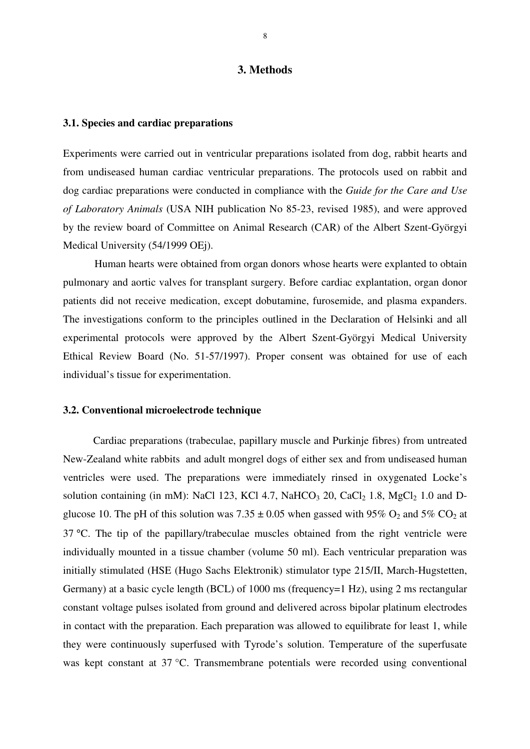#### **3. Methods**

## **3.1. Species and cardiac preparations**

Experiments were carried out in ventricular preparations isolated from dog, rabbit hearts and from undiseased human cardiac ventricular preparations. The protocols used on rabbit and dog cardiac preparations were conducted in compliance with the *Guide for the Care and Use of Laboratory Animals* (USA NIH publication No 85-23, revised 1985), and were approved by the review board of Committee on Animal Research (CAR) of the Albert Szent-Györgyi Medical University (54/1999 OEj).

Human hearts were obtained from organ donors whose hearts were explanted to obtain pulmonary and aortic valves for transplant surgery. Before cardiac explantation, organ donor patients did not receive medication, except dobutamine, furosemide, and plasma expanders. The investigations conform to the principles outlined in the Declaration of Helsinki and all experimental protocols were approved by the Albert Szent-Györgyi Medical University Ethical Review Board (No. 51-57/1997). Proper consent was obtained for use of each individual's tissue for experimentation.

#### **3.2. Conventional microelectrode technique**

Cardiac preparations (trabeculae, papillary muscle and Purkinje fibres) from untreated New-Zealand white rabbits and adult mongrel dogs of either sex and from undiseased human ventricles were used. The preparations were immediately rinsed in oxygenated Locke's solution containing (in mM): NaCl 123, KCl 4.7, NaHCO<sub>3</sub> 20, CaCl<sub>2</sub> 1.8, MgCl<sub>2</sub> 1.0 and Dglucose 10. The pH of this solution was  $7.35 \pm 0.05$  when gassed with 95% O<sub>2</sub> and 5% CO<sub>2</sub> at 37 °C. The tip of the papillary/trabeculae muscles obtained from the right ventricle were individually mounted in a tissue chamber (volume 50 ml). Each ventricular preparation was initially stimulated (HSE (Hugo Sachs Elektronik) stimulator type 215/II, March-Hugstetten, Germany) at a basic cycle length (BCL) of 1000 ms (frequency=1 Hz), using 2 ms rectangular constant voltage pulses isolated from ground and delivered across bipolar platinum electrodes in contact with the preparation. Each preparation was allowed to equilibrate for least 1, while they were continuously superfused with Tyrode's solution. Temperature of the superfusate was kept constant at 37 °C. Transmembrane potentials were recorded using conventional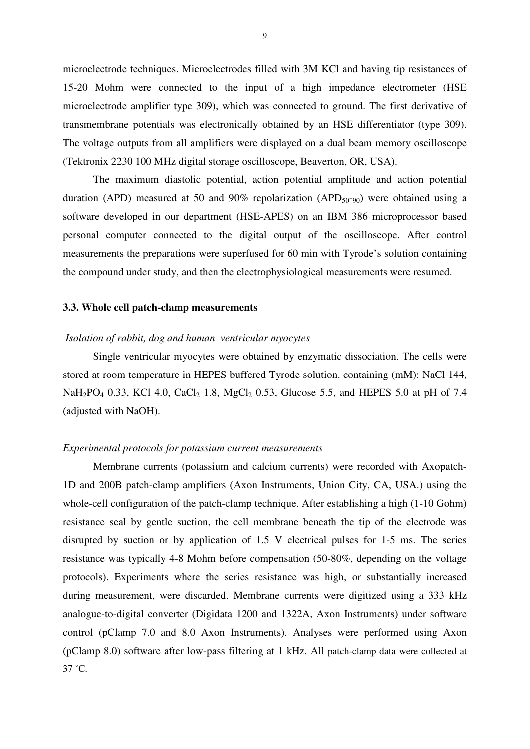microelectrode techniques. Microelectrodes filled with 3M KCl and having tip resistances of 15-20 Mohm were connected to the input of a high impedance electrometer (HSE microelectrode amplifier type 309), which was connected to ground. The first derivative of transmembrane potentials was electronically obtained by an HSE differentiator (type 309). The voltage outputs from all amplifiers were displayed on a dual beam memory oscilloscope (Tektronix 2230 100 MHz digital storage oscilloscope, Beaverton, OR, USA).

The maximum diastolic potential, action potential amplitude and action potential duration (APD) measured at 50 and 90% repolarization (APD<sub>50</sub>-<sub>90</sub>) were obtained using a software developed in our department (HSE-APES) on an IBM 386 microprocessor based personal computer connected to the digital output of the oscilloscope. After control measurements the preparations were superfused for 60 min with Tyrode's solution containing the compound under study, and then the electrophysiological measurements were resumed.

## **3.3. Whole cell patch-clamp measurements**

## *Isolation of rabbit, dog and human ventricular myocytes*

Single ventricular myocytes were obtained by enzymatic dissociation. The cells were stored at room temperature in HEPES buffered Tyrode solution. containing (mM): NaCl 144,  $NaH<sub>2</sub>PO<sub>4</sub> 0.33, KCl 4.0, CaCl<sub>2</sub> 1.8, MgCl<sub>2</sub> 0.53, Glucose 5.5, and HEPES 5.0 at pH of 7.4$ (adjusted with NaOH).

#### *Experimental protocols for potassium current measurements*

Membrane currents (potassium and calcium currents) were recorded with Axopatch-1D and 200B patch-clamp amplifiers (Axon Instruments, Union City, CA, USA.) using the whole-cell configuration of the patch-clamp technique. After establishing a high (1-10 Gohm) resistance seal by gentle suction, the cell membrane beneath the tip of the electrode was disrupted by suction or by application of 1.5 V electrical pulses for 1-5 ms. The series resistance was typically 4-8 Mohm before compensation (50-80%, depending on the voltage protocols). Experiments where the series resistance was high, or substantially increased during measurement, were discarded. Membrane currents were digitized using a 333 kHz analogue-to-digital converter (Digidata 1200 and 1322A, Axon Instruments) under software control (pClamp 7.0 and 8.0 Axon Instruments). Analyses were performed using Axon (pClamp 8.0) software after low-pass filtering at 1 kHz. All patch-clamp data were collected at  $37 \degree C$ .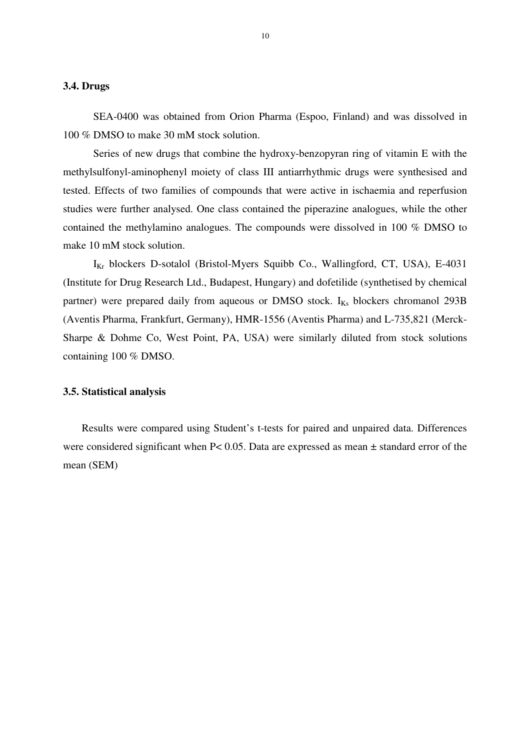#### **3.4. Drugs**

SEA-0400 was obtained from Orion Pharma (Espoo, Finland) and was dissolved in 100 % DMSO to make 30 mM stock solution.

Series of new drugs that combine the hydroxy-benzopyran ring of vitamin E with the methylsulfonyl-aminophenyl moiety of class III antiarrhythmic drugs were synthesised and tested. Effects of two families of compounds that were active in ischaemia and reperfusion studies were further analysed. One class contained the piperazine analogues, while the other contained the methylamino analogues. The compounds were dissolved in 100 % DMSO to make 10 mM stock solution.

 $I_{Kr}$  blockers D-sotalol (Bristol-Myers Squibb Co., Wallingford, CT, USA), E-4031 (Institute for Drug Research Ltd., Budapest, Hungary) and dofetilide (synthetised by chemical partner) were prepared daily from aqueous or DMSO stock. I<sub>Ks</sub> blockers chromanol 293B (Aventis Pharma, Frankfurt, Germany), HMR-1556 (Aventis Pharma) and L-735,821 (Merck-Sharpe & Dohme Co, West Point, PA, USA) were similarly diluted from stock solutions containing 100 % DMSO.

## **3.5. Statistical analysis**

 Results were compared using Student's t-tests for paired and unpaired data. Differences were considered significant when P< 0.05. Data are expressed as mean ± standard error of the mean (SEM)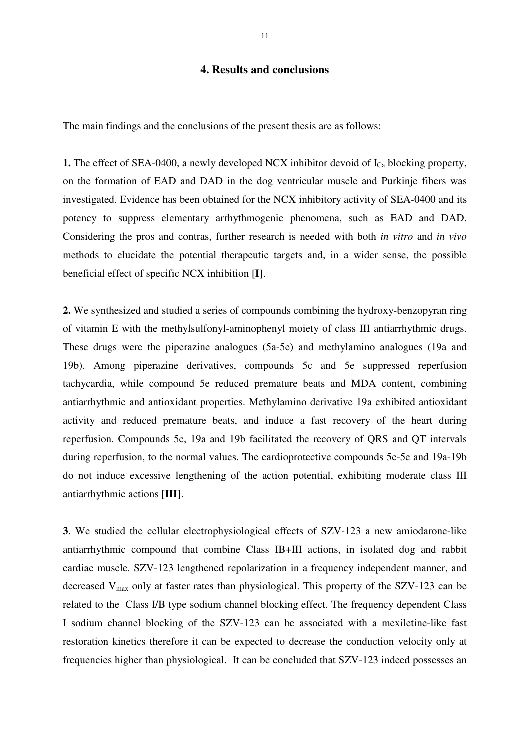# **4. Results and conclusions**

The main findings and the conclusions of the present thesis are as follows:

**1.** The effect of SEA-0400, a newly developed NCX inhibitor devoid of  $I_{C<sub>2</sub>}$  blocking property, on the formation of EAD and DAD in the dog ventricular muscle and Purkinje fibers was investigated. Evidence has been obtained for the NCX inhibitory activity of SEA-0400 and its potency to suppress elementary arrhythmogenic phenomena, such as EAD and DAD. Considering the pros and contras, further research is needed with both *in vitro* and *in vivo* methods to elucidate the potential therapeutic targets and, in a wider sense, the possible beneficial effect of specific NCX inhibition [**I**].

**2.** We synthesized and studied a series of compounds combining the hydroxy-benzopyran ring of vitamin E with the methylsulfonyl-aminophenyl moiety of class III antiarrhythmic drugs. These drugs were the piperazine analogues (5a-5e) and methylamino analogues (19a and 19b). Among piperazine derivatives, compounds 5c and 5e suppressed reperfusion tachycardia, while compound 5e reduced premature beats and MDA content, combining antiarrhythmic and antioxidant properties. Methylamino derivative 19a exhibited antioxidant activity and reduced premature beats, and induce a fast recovery of the heart during reperfusion. Compounds 5c, 19a and 19b facilitated the recovery of QRS and QT intervals during reperfusion, to the normal values. The cardioprotective compounds 5c-5e and 19a-19b do not induce excessive lengthening of the action potential, exhibiting moderate class III antiarrhythmic actions [**III**].

**3**. We studied the cellular electrophysiological effects of SZV-123 a new amiodarone-like antiarrhythmic compound that combine Class IB+III actions, in isolated dog and rabbit cardiac muscle. SZV-123 lengthened repolarization in a frequency independent manner, and decreased  $V_{\text{max}}$  only at faster rates than physiological. This property of the SZV-123 can be related to the Class I/B type sodium channel blocking effect. The frequency dependent Class I sodium channel blocking of the SZV-123 can be associated with a mexiletine-like fast restoration kinetics therefore it can be expected to decrease the conduction velocity only at frequencies higher than physiological. It can be concluded that SZV-123 indeed possesses an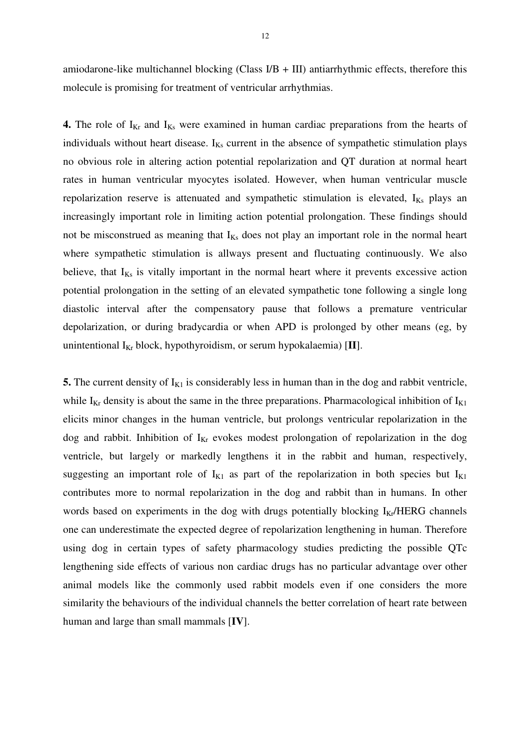amiodarone-like multichannel blocking (Class  $I/B + III$ ) antiarrhythmic effects, therefore this molecule is promising for treatment of ventricular arrhythmias.

**4.** The role of  $I_{Kr}$  and  $I_{Ks}$  were examined in human cardiac preparations from the hearts of individuals without heart disease.  $I_{Ks}$  current in the absence of sympathetic stimulation plays no obvious role in altering action potential repolarization and QT duration at normal heart rates in human ventricular myocytes isolated. However, when human ventricular muscle repolarization reserve is attenuated and sympathetic stimulation is elevated, I<sub>Ks</sub> plays an increasingly important role in limiting action potential prolongation. These findings should not be misconstrued as meaning that  $I_{Ks}$  does not play an important role in the normal heart where sympathetic stimulation is allways present and fluctuating continuously. We also believe, that  $I_{Ks}$  is vitally important in the normal heart where it prevents excessive action potential prolongation in the setting of an elevated sympathetic tone following a single long diastolic interval after the compensatory pause that follows a premature ventricular depolarization, or during bradycardia or when APD is prolonged by other means (eg, by unintentional I<sub>Kr</sub> block, hypothyroidism, or serum hypokalaemia) [II].

**5.** The current density of  $I_{K1}$  is considerably less in human than in the dog and rabbit ventricle, while  $I_{Kr}$  density is about the same in the three preparations. Pharmacological inhibition of  $I_{K1}$ elicits minor changes in the human ventricle, but prolongs ventricular repolarization in the dog and rabbit. Inhibition of  $I_{Kr}$  evokes modest prolongation of repolarization in the dog ventricle, but largely or markedly lengthens it in the rabbit and human, respectively, suggesting an important role of  $I_{K1}$  as part of the repolarization in both species but  $I_{K1}$ contributes more to normal repolarization in the dog and rabbit than in humans. In other words based on experiments in the dog with drugs potentially blocking  $I_{\text{Kr}}/HERG$  channels one can underestimate the expected degree of repolarization lengthening in human. Therefore using dog in certain types of safety pharmacology studies predicting the possible QTc lengthening side effects of various non cardiac drugs has no particular advantage over other animal models like the commonly used rabbit models even if one considers the more similarity the behaviours of the individual channels the better correlation of heart rate between human and large than small mammals [**IV**].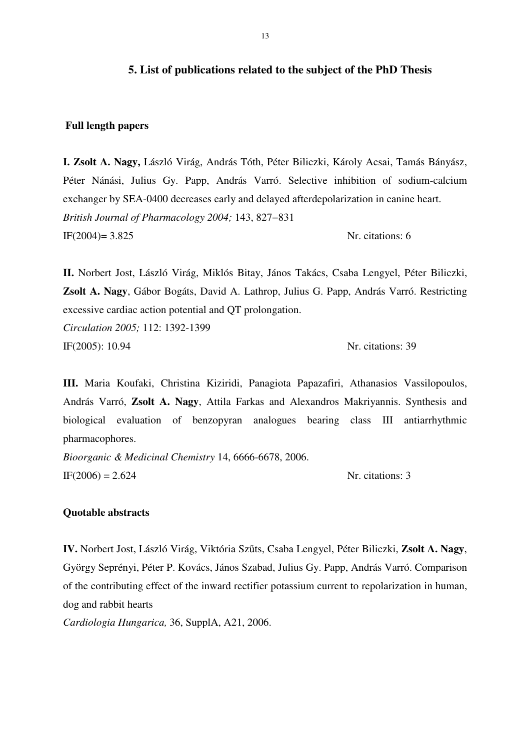# **5. List of publications related to the subject of the PhD Thesis**

## **Full length papers**

**I. Zsolt A. Nagy,** László Virág, András Tóth, Péter Biliczki, Károly Acsai, Tamás Bányász, Péter Nánási, Julius Gy. Papp, András Varró. Selective inhibition of sodium-calcium exchanger by SEA-0400 decreases early and delayed afterdepolarization in canine heart. *British Journal of Pharmacology 2004;* 143, 827−831 IF(2004)=  $3.825$  Nr. citations: 6

**II.** Norbert Jost, László Virág, Miklós Bitay, János Takács, Csaba Lengyel, Péter Biliczki, **Zsolt A. Nagy**, Gábor Bogáts, David A. Lathrop, Julius G. Papp, András Varró. Restricting excessive cardiac action potential and QT prolongation. *Circulation 2005;* 112: 1392-1399

IF(2005): 10.94 Nr. citations: 39

**III.** Maria Koufaki, Christina Kiziridi, Panagiota Papazafiri, Athanasios Vassilopoulos, András Varró, **Zsolt A. Nagy**, Attila Farkas and Alexandros Makriyannis. Synthesis and biological evaluation of benzopyran analogues bearing class III antiarrhythmic pharmacophores.

*Bioorganic & Medicinal Chemistry* 14, 6666-6678, 2006.  $IF(2006) = 2.624$  Nr. citations: 3

## **Quotable abstracts**

**IV.** Norbert Jost, László Virág, Viktória Szőts, Csaba Lengyel, Péter Biliczki, **Zsolt A. Nagy**, György Seprényi, Péter P. Kovács, János Szabad, Julius Gy. Papp, András Varró. Comparison of the contributing effect of the inward rectifier potassium current to repolarization in human, dog and rabbit hearts

*Cardiologia Hungarica,* 36, SupplA, A21, 2006.